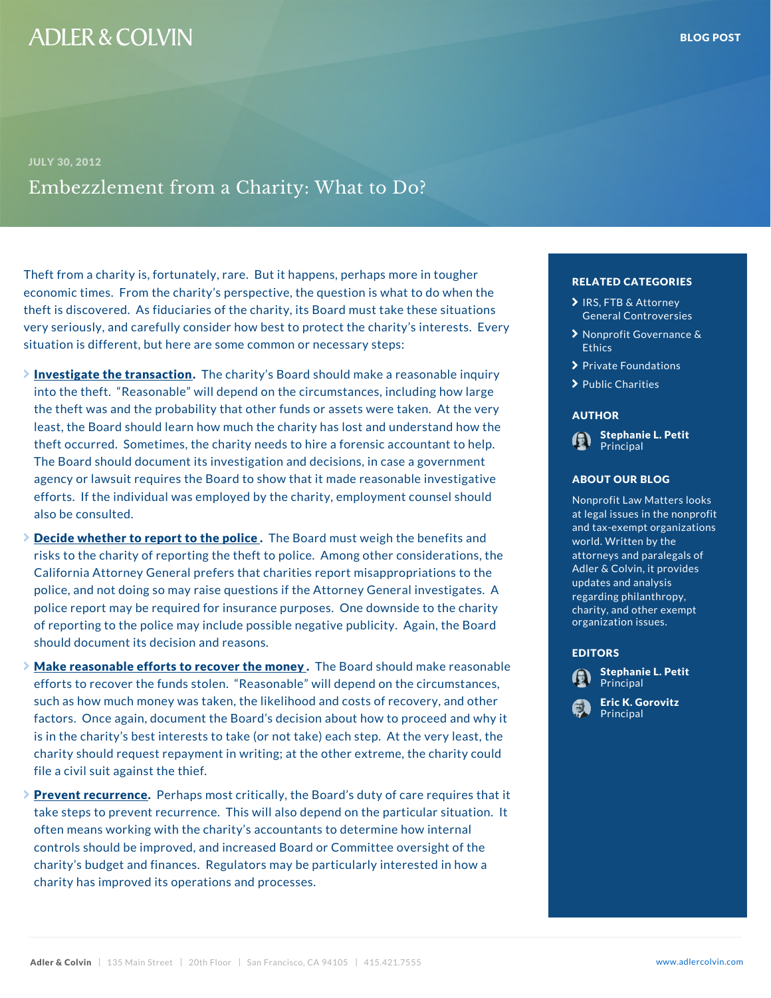# Theft from a charity is, fortunately, rare. But it happens, peritor cate conta<sup>ug</sup> economic times. From the charity s perspective, the question is when the when theft is discovered. As fiduciaries of the charity, its Board manufactures situations of  $\frac{1}{2}$ very seriously, and carefully consider how best to protect the character character st situation is different, but here are some common or nece

- $\ge$  Investigate the tranTshaectciho antity s Board should make a reasonable in  $\overline{a}$ into the theft. Reasonable will depend on the circumstances with how large with how large how large with how large  $\mathbf{w}$ the theft was and the probability that other funds or as  $\epsilon_{\rm MTHOR}$ . least, the Board should learn how much the charity has lost and understand how theft occurred. Sometimes, the charity needs to hire a **formal propriate and the set of the set of to** to The Board should document its investigation and decisical case a government  $\mathbf{h}$  me agency or lawsuit requires the Board to show that it man ABOUT OUR BLOG in efforts. If the individual was employed by the charity, also be consulted.
- $\geq$  Decide whether to report to hteh escoparid consust weigh the benefits and  $\epsilon$ risks to the charity of reporting the theft to police. An California Attorney General prefers that charities repo police, and not doing so may raise questions if the Att police report may be required for insurance purposes. of reporting to the police may include possible negative purportation issues. <sub>he</sub> should document its decision and reasons.
- $\geq$  Make reasonable efforts to recoTvheer Eshoward oshe cyuld make efforts to recover the funds stolen.  $\blacksquare$  Reasonable will  $\blacksquare$  Principal  $\blacksquare$  sta such as how much money was taken, the likelihood and **costs [of recov](�� h t t p s : / / w w w . a d l e r c o l v i n . c o m / e r i c - k - g o r o v i t z /)ery, and other** factors. Once again, document the Board s decision at the Principal and net is in the charity s best interests to take (or not take) each step. At the very least, the very least, the very charity should request repayment in writing; at the other extreme, the could be a state of the charity could be file a civil suit against the thief.
- > Prevent recurrencheaps most critically, the Board s duty of care requires that it take steps to prevent recurrence. This will also depend on the particular situation. The particular situation often means working with the charity s accountants to determine how internal contrary to the hold of the hold controls should be improved, and increased Board or Committee oversight of the state of the state of the state charity s budget and finances. Regulators may be particularly interested in the ho charity has improved its operations and processes.

### RELATED CATEGORIE

- [IRS, FTB & A](�� h t t p s : / / w w w . a d l e r c o l v i n . c o m / b l o g / c a t e g o r y / i r s - f t b - a t t o r n e y - g e n e r a l - c o n t r o v e r s i e s /)ttorney [General Contr](�� h t t p s : / / w w w . a d l e r c o l v i n . c o m / b l o g / c a t e g o r y / i r s - f t b - a t t o r n e y - g e n e r a l - c o n t r o v e r s i e s /)oversi
- > [Nonprofit Gover](�� h t t p s : / / w w w . a d l e r c o l v i n . c o m / b l o g / c a t e g o r y / n o n p r o f i t - g o v e r n a n c e - e t h i c s /)nanc Ethics
- **>** [Private Foun](�� h t t p s : / / w w w . a d l e r c o l v i n . c o m / b l o g / c a t e g o r y / p r i v a t e - f o u n d a t i o n s /)dations
- > [Public Ch](�� h t t p s : / / w w w . a d l e r c o l v i n . c o m / b l o g / c a t e g o r y / p u b l i c - c h a r i t i e s /)arities

## AUTHOR

[Stephanie L](�� h t t p s : / / w w w . a d l e r c o l v i n . c o m / s t e p h a n i e - l - p e t i t /). Petit Principal

### ABOUT OUR BLOG

Nonprofit Law Matters h at legal issues in the and tax-exempt organ world. Written by the attorneys and paraleg<mark>io</mark> Adler & Colvin, it pro<sub>o</sub> updates and analysis regarding philanthrop<sup>g</sup>a  $\overline{\text{charity}}$ , and other exech organization issues.

#### EDITORS

- [Stephanie L](�� h t t p s : / / w w w . a d l e r c o l v i n . c o m / s t e p h a n i e - l - p e t i t /). Petit Principal
- Eric K. Gorovitz **Principal**
-